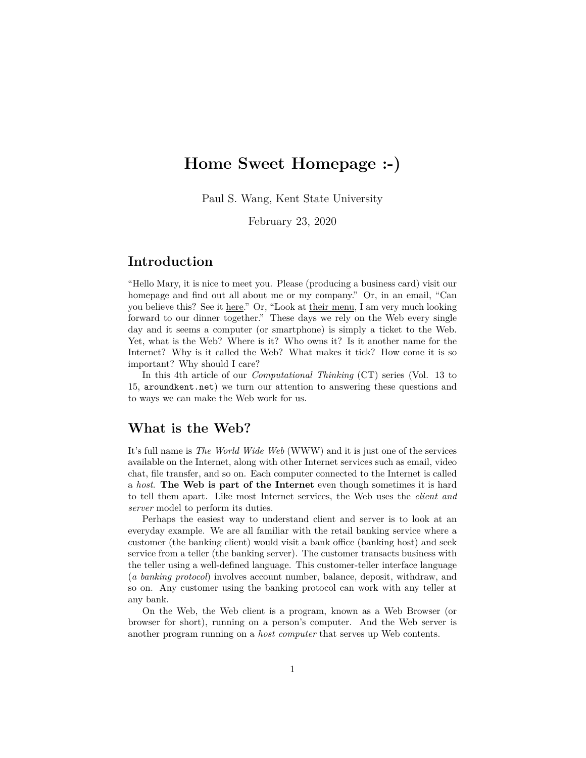# **Home Sweet Homepage :-)**

Paul S. Wang, Kent State University

February 23, 2020

#### **Introduction**

"Hello Mary, it is nice to meet you. Please (producing a business card) visit our homepage and find out all about me or my company." Or, in an email, "Can you believe this? See it here." Or, "Look at their menu, I am very much looking forward to our dinner together." These days we rely on the Web every single day and it seems a computer (or smartphone) is simply a ticket to the Web. Yet, what is the Web? Where is it? Who owns it? Is it another name for the Internet? Why is it called the Web? What makes it tick? How come it is so important? Why should I care?

In this 4th article of our *Computational Thinking* (CT) series (Vol. 13 to 15, aroundkent.net) we turn our attention to answering these questions and to ways we can make the Web work for us.

# **What is the Web?**

It's full name is *The World Wide Web* (WWW) and it is just one of the services available on the Internet, along with other Internet services such as email, video chat, file transfer, and so on. Each computer connected to the Internet is called a *host*. **The Web is part of the Internet** even though sometimes it is hard to tell them apart. Like most Internet services, the Web uses the *client and server* model to perform its duties.

Perhaps the easiest way to understand client and server is to look at an everyday example. We are all familiar with the retail banking service where a customer (the banking client) would visit a bank office (banking host) and seek service from a teller (the banking server). The customer transacts business with the teller using a well-defined language. This customer-teller interface language (*a banking protocol*) involves account number, balance, deposit, withdraw, and so on. Any customer using the banking protocol can work with any teller at any bank.

On the Web, the Web client is a program, known as a Web Browser (or browser for short), running on a person's computer. And the Web server is another program running on a *host computer* that serves up Web contents.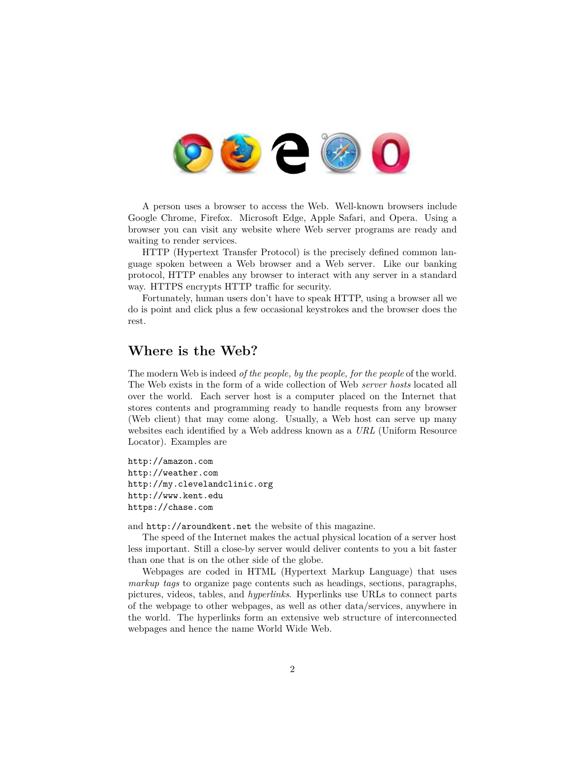

A person uses a browser to access the Web. Well-known browsers include Google Chrome, Firefox. Microsoft Edge, Apple Safari, and Opera. Using a browser you can visit any website where Web server programs are ready and waiting to render services.

HTTP (Hypertext Transfer Protocol) is the precisely defined common language spoken between a Web browser and a Web server. Like our banking protocol, HTTP enables any browser to interact with any server in a standard way. HTTPS encrypts HTTP traffic for security.

Fortunately, human users don't have to speak HTTP, using a browser all we do is point and click plus a few occasional keystrokes and the browser does the rest.

# **Where is the Web?**

The modern Web is indeed *of the people, by the people, for the people* of the world. The Web exists in the form of a wide collection of Web *server hosts* located all over the world. Each server host is a computer placed on the Internet that stores contents and programming ready to handle requests from any browser (Web client) that may come along. Usually, a Web host can serve up many websites each identified by a Web address known as a *URL* (Uniform Resource Locator). Examples are

http://amazon.com http://weather.com http://my.clevelandclinic.org http://www.kent.edu https://chase.com

and http://aroundkent.net the website of this magazine.

The speed of the Internet makes the actual physical location of a server host less important. Still a close-by server would deliver contents to you a bit faster than one that is on the other side of the globe.

Webpages are coded in HTML (Hypertext Markup Language) that uses *markup tags* to organize page contents such as headings, sections, paragraphs, pictures, videos, tables, and *hyperlinks*. Hyperlinks use URLs to connect parts of the webpage to other webpages, as well as other data/services, anywhere in the world. The hyperlinks form an extensive web structure of interconnected webpages and hence the name World Wide Web.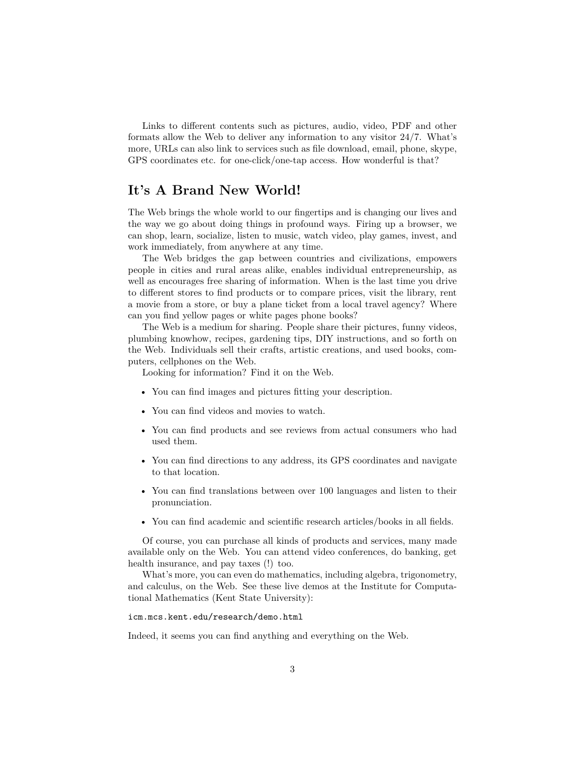Links to different contents such as pictures, audio, video, PDF and other formats allow the Web to deliver any information to any visitor 24/7. What's more, URLs can also link to services such as file download, email, phone, skype, GPS coordinates etc. for one-click/one-tap access. How wonderful is that?

# **It's A Brand New World!**

The Web brings the whole world to our fingertips and is changing our lives and the way we go about doing things in profound ways. Firing up a browser, we can shop, learn, socialize, listen to music, watch video, play games, invest, and work immediately, from anywhere at any time.

The Web bridges the gap between countries and civilizations, empowers people in cities and rural areas alike, enables individual entrepreneurship, as well as encourages free sharing of information. When is the last time you drive to different stores to find products or to compare prices, visit the library, rent a movie from a store, or buy a plane ticket from a local travel agency? Where can you find yellow pages or white pages phone books?

The Web is a medium for sharing. People share their pictures, funny videos, plumbing knowhow, recipes, gardening tips, DIY instructions, and so forth on the Web. Individuals sell their crafts, artistic creations, and used books, computers, cellphones on the Web.

Looking for information? Find it on the Web.

- You can find images and pictures fitting your description.
- You can find videos and movies to watch.
- You can find products and see reviews from actual consumers who had used them.
- You can find directions to any address, its GPS coordinates and navigate to that location.
- You can find translations between over 100 languages and listen to their pronunciation.
- You can find academic and scientific research articles/books in all fields.

Of course, you can purchase all kinds of products and services, many made available only on the Web. You can attend video conferences, do banking, get health insurance, and pay taxes (!) too.

What's more, you can even do mathematics, including algebra, trigonometry, and calculus, on the Web. See these live demos at the Institute for Computational Mathematics (Kent State University):

#### icm.mcs.kent.edu/research/demo.html

Indeed, it seems you can find anything and everything on the Web.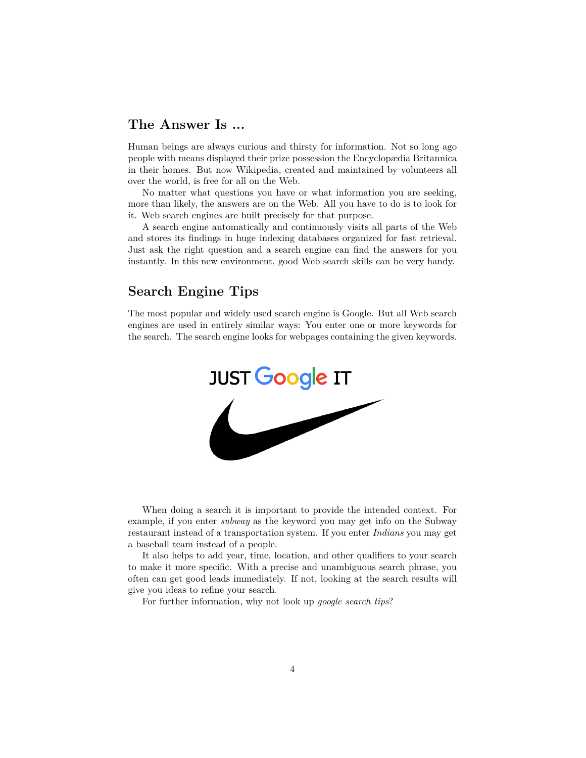#### **The Answer Is ...**

Human beings are always curious and thirsty for information. Not so long ago people with means displayed their prize possession the Encyclopædia Britannica in their homes. But now Wikipedia, created and maintained by volunteers all over the world, is free for all on the Web.

No matter what questions you have or what information you are seeking, more than likely, the answers are on the Web. All you have to do is to look for it. Web search engines are built precisely for that purpose.

A search engine automatically and continuously visits all parts of the Web and stores its findings in huge indexing databases organized for fast retrieval. Just ask the right question and a search engine can find the answers for you instantly. In this new environment, good Web search skills can be very handy.

### **Search Engine Tips**

The most popular and widely used search engine is Google. But all Web search engines are used in entirely similar ways: You enter one or more keywords for the search. The search engine looks for webpages containing the given keywords.



When doing a search it is important to provide the intended context. For example, if you enter *subway* as the keyword you may get info on the Subway restaurant instead of a transportation system. If you enter *Indians* you may get a baseball team instead of a people.

It also helps to add year, time, location, and other qualifiers to your search to make it more specific. With a precise and unambiguous search phrase, you often can get good leads immediately. If not, looking at the search results will give you ideas to refine your search.

For further information, why not look up *google search tips*?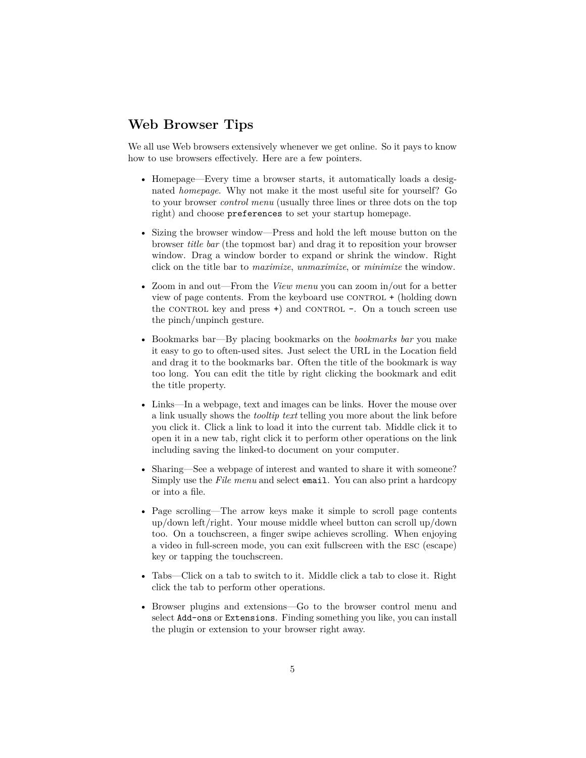# **Web Browser Tips**

We all use Web browsers extensively whenever we get online. So it pays to know how to use browsers effectively. Here are a few pointers.

- Homepage—Every time a browser starts, it automatically loads a designated *homepage*. Why not make it the most useful site for yourself? Go to your browser *control menu* (usually three lines or three dots on the top right) and choose preferences to set your startup homepage.
- Sizing the browser window—Press and hold the left mouse button on the browser *title bar* (the topmost bar) and drag it to reposition your browser window. Drag a window border to expand or shrink the window. Right click on the title bar to *maximize*, *unmaximize*, or *minimize* the window.
- Zoom in and out—From the *View menu* you can zoom in/out for a better view of page contents. From the keyboard use  $CONTROL + (holding down)$ the CONTROL key and press  $+)$  and CONTROL  $-$ . On a touch screen use the pinch/unpinch gesture.
- Bookmarks bar—By placing bookmarks on the *bookmarks bar* you make it easy to go to often-used sites. Just select the URL in the Location field and drag it to the bookmarks bar. Often the title of the bookmark is way too long. You can edit the title by right clicking the bookmark and edit the title property.
- Links—In a webpage, text and images can be links. Hover the mouse over a link usually shows the *tooltip text* telling you more about the link before you click it. Click a link to load it into the current tab. Middle click it to open it in a new tab, right click it to perform other operations on the link including saving the linked-to document on your computer.
- Sharing—See a webpage of interest and wanted to share it with someone? Simply use the *File menu* and select email. You can also print a hardcopy or into a file.
- Page scrolling—The arrow keys make it simple to scroll page contents up/down left/right. Your mouse middle wheel button can scroll up/down too. On a touchscreen, a finger swipe achieves scrolling. When enjoying a video in full-screen mode, you can exit fullscreen with the esc (escape) key or tapping the touchscreen.
- Tabs—Click on a tab to switch to it. Middle click a tab to close it. Right click the tab to perform other operations.
- Browser plugins and extensions—Go to the browser control menu and select Add-ons or Extensions. Finding something you like, you can install the plugin or extension to your browser right away.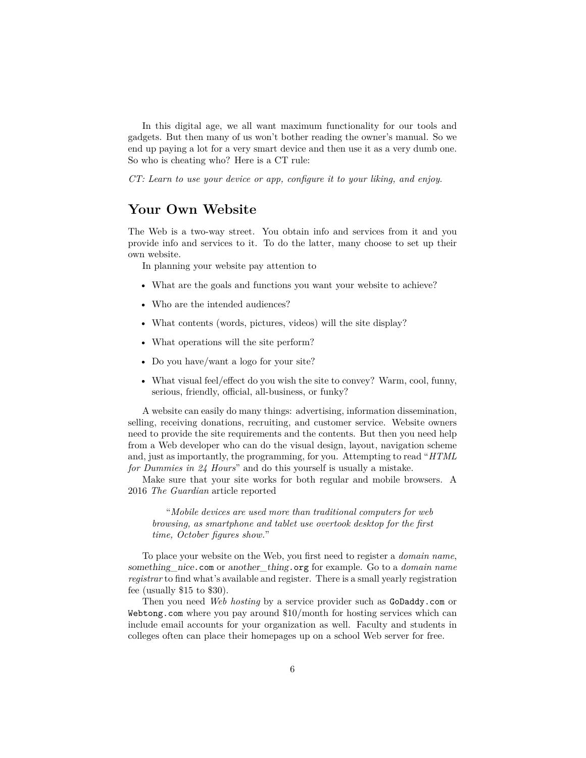In this digital age, we all want maximum functionality for our tools and gadgets. But then many of us won't bother reading the owner's manual. So we end up paying a lot for a very smart device and then use it as a very dumb one. So who is cheating who? Here is a CT rule:

*CT: Learn to use your device or app, configure it to your liking, and enjoy*.

### **Your Own Website**

The Web is a two-way street. You obtain info and services from it and you provide info and services to it. To do the latter, many choose to set up their own website.

In planning your website pay attention to

- What are the goals and functions you want your website to achieve?
- Who are the intended audiences?
- What contents (words, pictures, videos) will the site display?
- What operations will the site perform?
- Do you have/want a logo for your site?
- What visual feel/effect do you wish the site to convey? Warm, cool, funny, serious, friendly, official, all-business, or funky?

A website can easily do many things: advertising, information dissemination, selling, receiving donations, recruiting, and customer service. Website owners need to provide the site requirements and the contents. But then you need help from a Web developer who can do the visual design, layout, navigation scheme and, just as importantly, the programming, for you. Attempting to read "*HTML for Dummies in 24 Hours*" and do this yourself is usually a mistake.

Make sure that your site works for both regular and mobile browsers. A 2016 *The Guardian* article reported

"*Mobile devices are used more than traditional computers for web browsing, as smartphone and tablet use overtook desktop for the first time, October figures show.*"

To place your website on the Web, you first need to register a *domain name*, *something\_nice*.com or *another\_thing*.org for example. Go to a *domain name registrar* to find what's available and register. There is a small yearly registration fee (usually \$15 to \$30).

Then you need *Web hosting* by a service provider such as GoDaddy.com or Webtong.com where you pay around \$10/month for hosting services which can include email accounts for your organization as well. Faculty and students in colleges often can place their homepages up on a school Web server for free.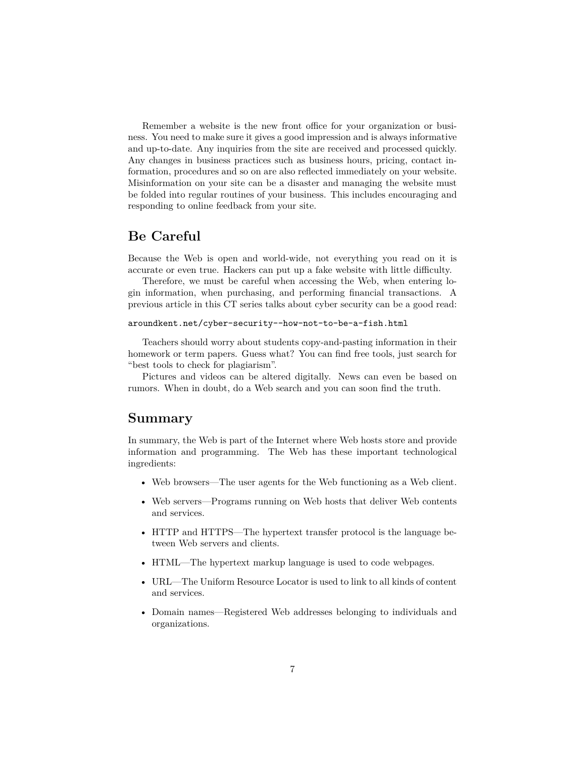Remember a website is the new front office for your organization or business. You need to make sure it gives a good impression and is always informative and up-to-date. Any inquiries from the site are received and processed quickly. Any changes in business practices such as business hours, pricing, contact information, procedures and so on are also reflected immediately on your website. Misinformation on your site can be a disaster and managing the website must be folded into regular routines of your business. This includes encouraging and responding to online feedback from your site.

### **Be Careful**

Because the Web is open and world-wide, not everything you read on it is accurate or even true. Hackers can put up a fake website with little difficulty.

Therefore, we must be careful when accessing the Web, when entering login information, when purchasing, and performing financial transactions. A previous article in this CT series talks about cyber security can be a good read:

#### aroundkent.net/cyber-security--how-not-to-be-a-fish.html

Teachers should worry about students copy-and-pasting information in their homework or term papers. Guess what? You can find free tools, just search for "best tools to check for plagiarism".

Pictures and videos can be altered digitally. News can even be based on rumors. When in doubt, do a Web search and you can soon find the truth.

#### **Summary**

In summary, the Web is part of the Internet where Web hosts store and provide information and programming. The Web has these important technological ingredients:

- Web browsers—The user agents for the Web functioning as a Web client.
- Web servers—Programs running on Web hosts that deliver Web contents and services.
- HTTP and HTTPS—The hypertext transfer protocol is the language between Web servers and clients.
- HTML—The hypertext markup language is used to code webpages.
- URL—The Uniform Resource Locator is used to link to all kinds of content and services.
- Domain names—Registered Web addresses belonging to individuals and organizations.